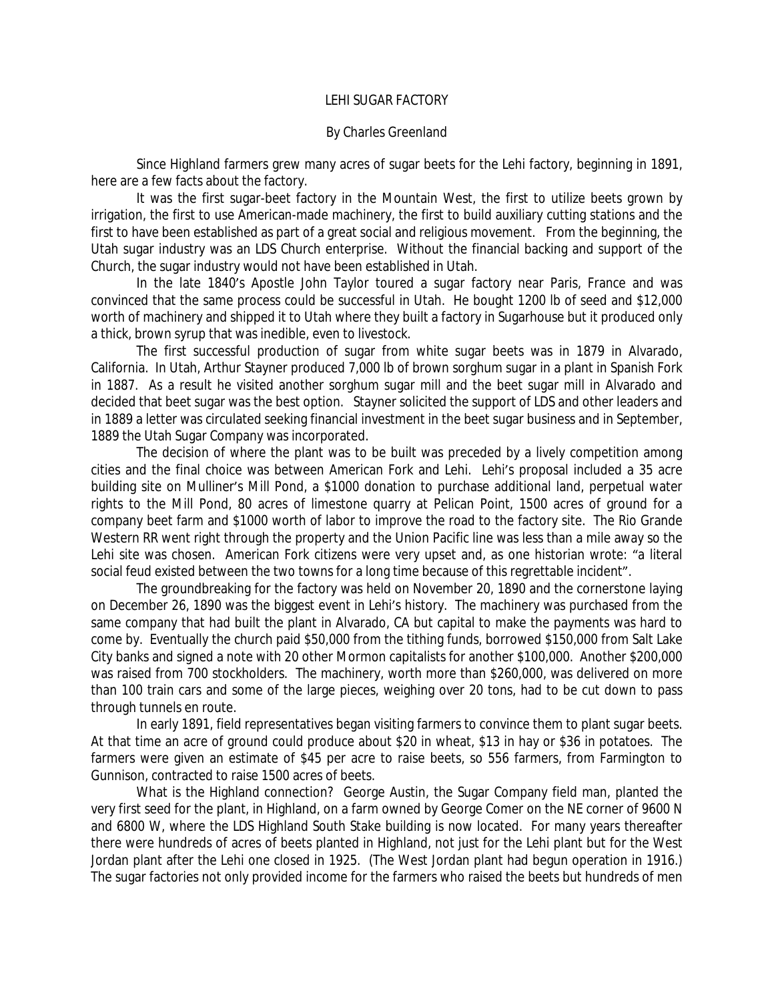## LEHI SUGAR FACTORY

## By Charles Greenland

Since Highland farmers grew many acres of sugar beets for the Lehi factory, beginning in 1891, here are a few facts about the factory.

It was the first sugar-beet factory in the Mountain West, the first to utilize beets grown by irrigation, the first to use American-made machinery, the first to build auxiliary cutting stations and the first to have been established as part of a great social and religious movement. From the beginning, the Utah sugar industry was an LDS Church enterprise. Without the financial backing and support of the Church, the sugar industry would not have been established in Utah.

In the late 1840's Apostle John Taylor toured a sugar factory near Paris, France and was convinced that the same process could be successful in Utah. He bought 1200 lb of seed and \$12,000 worth of machinery and shipped it to Utah where they built a factory in Sugarhouse but it produced only a thick, brown syrup that was inedible, even to livestock.

The first successful production of sugar from white sugar beets was in 1879 in Alvarado, California. In Utah, Arthur Stayner produced 7,000 lb of brown sorghum sugar in a plant in Spanish Fork in 1887. As a result he visited another sorghum sugar mill and the beet sugar mill in Alvarado and decided that beet sugar was the best option. Stayner solicited the support of LDS and other leaders and in 1889 a letter was circulated seeking financial investment in the beet sugar business and in September, 1889 the Utah Sugar Company was incorporated.

The decision of where the plant was to be built was preceded by a lively competition among cities and the final choice was between American Fork and Lehi. Lehi's proposal included a 35 acre building site on Mulliner's Mill Pond, a \$1000 donation to purchase additional land, perpetual water rights to the Mill Pond, 80 acres of limestone quarry at Pelican Point, 1500 acres of ground for a company beet farm and \$1000 worth of labor to improve the road to the factory site. The Rio Grande Western RR went right through the property and the Union Pacific line was less than a mile away so the Lehi site was chosen. American Fork citizens were very upset and, as one historian wrote: "a literal social feud existed between the two towns for a long time because of this regrettable incident".

The groundbreaking for the factory was held on November 20, 1890 and the cornerstone laying on December 26, 1890 was the biggest event in Lehi's history. The machinery was purchased from the same company that had built the plant in Alvarado, CA but capital to make the payments was hard to come by. Eventually the church paid \$50,000 from the tithing funds, borrowed \$150,000 from Salt Lake City banks and signed a note with 20 other Mormon capitalists for another \$100,000. Another \$200,000 was raised from 700 stockholders. The machinery, worth more than \$260,000, was delivered on more than 100 train cars and some of the large pieces, weighing over 20 tons, had to be cut down to pass through tunnels en route.

In early 1891, field representatives began visiting farmers to convince them to plant sugar beets. At that time an acre of ground could produce about \$20 in wheat, \$13 in hay or \$36 in potatoes. The farmers were given an estimate of \$45 per acre to raise beets, so 556 farmers, from Farmington to Gunnison, contracted to raise 1500 acres of beets.

What is the Highland connection? George Austin, the Sugar Company field man, planted the very first seed for the plant, in Highland, on a farm owned by George Comer on the NE corner of 9600 N and 6800 W, where the LDS Highland South Stake building is now located. For many years thereafter there were hundreds of acres of beets planted in Highland, not just for the Lehi plant but for the West Jordan plant after the Lehi one closed in 1925. (The West Jordan plant had begun operation in 1916.) The sugar factories not only provided income for the farmers who raised the beets but hundreds of men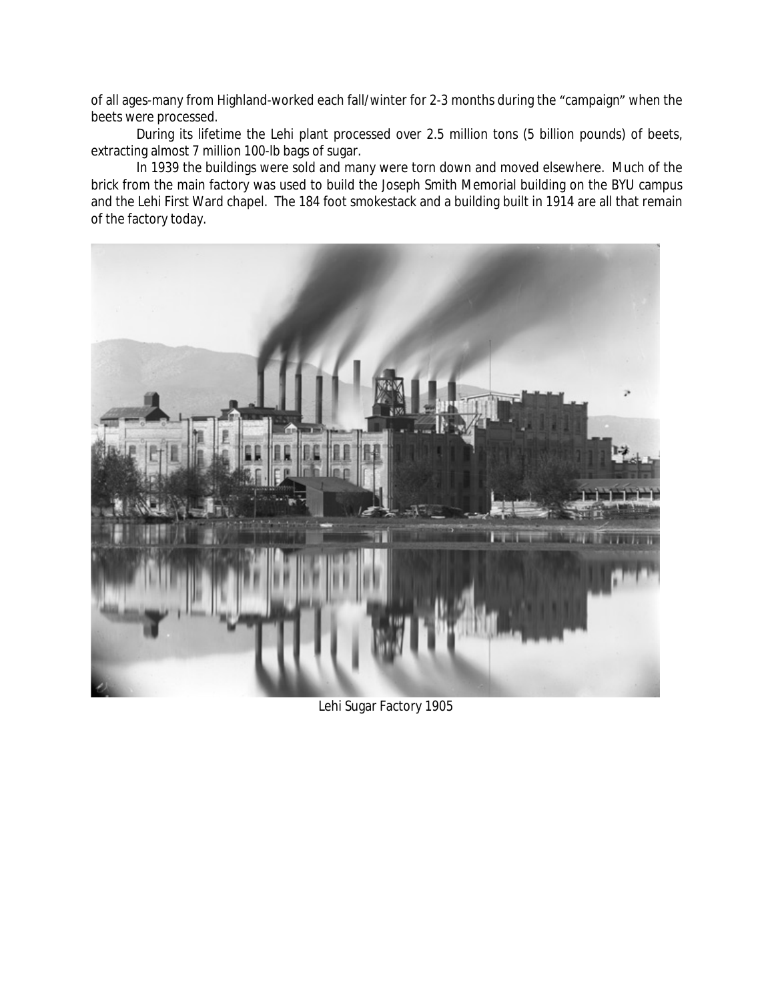of all ages-many from Highland-worked each fall/winter for 2-3 months during the "campaign" when the beets were processed.

During its lifetime the Lehi plant processed over 2.5 million tons (5 billion pounds) of beets, extracting almost 7 million 100-lb bags of sugar.

In 1939 the buildings were sold and many were torn down and moved elsewhere. Much of the brick from the main factory was used to build the Joseph Smith Memorial building on the BYU campus and the Lehi First Ward chapel. The 184 foot smokestack and a building built in 1914 are all that remain of the factory today.



Lehi Sugar Factory 1905